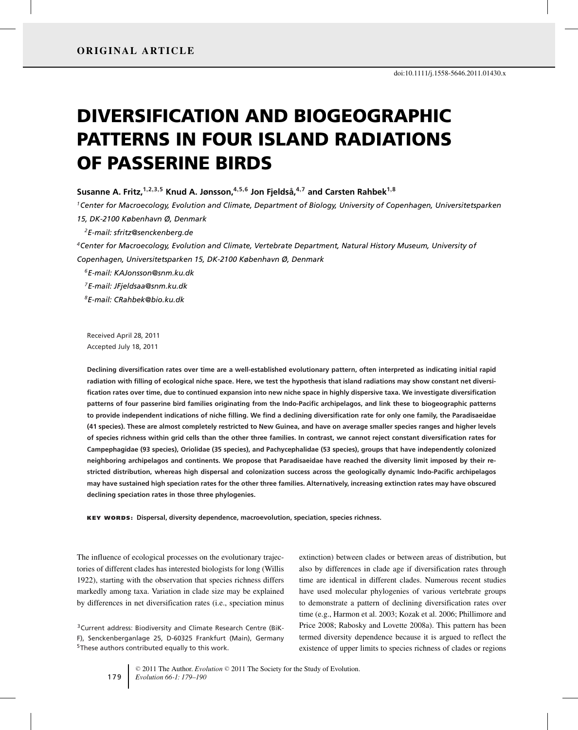# **DIVERSIFICATION AND BIOGEOGRAPHIC PATTERNS IN FOUR ISLAND RADIATIONS OF PASSERINE BIRDS**

Susanne A. Fritz,<sup>1,2,3,5</sup> Knud A. Jønsson,<sup>4,5,6</sup> Jon Fjeldså,<sup>4,7</sup> and Carsten Rahbek<sup>1,8</sup>

*1Center for Macroecology, Evolution and Climate, Department of Biology, University of Copenhagen, Universitetsparken 15, DK-2100 København Ø, Denmark*

*2E-mail: sfritz@senckenberg.de*

*4Center for Macroecology, Evolution and Climate, Vertebrate Department, Natural History Museum, University of Copenhagen, Universitetsparken 15, DK-2100 København Ø, Denmark*

*6E-mail: KAJonsson@snm.ku.dk*

*7E-mail: JFjeldsaa@snm.ku.dk*

*8E-mail: CRahbek@bio.ku.dk*

Received April 28, 2011 Accepted July 18, 2011

**Declining diversification rates over time are a well-established evolutionary pattern, often interpreted as indicating initial rapid radiation with filling of ecological niche space. Here, we test the hypothesis that island radiations may show constant net diversification rates over time, due to continued expansion into new niche space in highly dispersive taxa. We investigate diversification patterns of four passerine bird families originating from the Indo-Pacific archipelagos, and link these to biogeographic patterns to provide independent indications of niche filling. We find a declining diversification rate for only one family, the Paradisaeidae (41 species). These are almost completely restricted to New Guinea, and have on average smaller species ranges and higher levels of species richness within grid cells than the other three families. In contrast, we cannot reject constant diversification rates for Campephagidae (93 species), Oriolidae (35 species), and Pachycephalidae (53 species), groups that have independently colonized neighboring archipelagos and continents. We propose that Paradisaeidae have reached the diversity limit imposed by their restricted distribution, whereas high dispersal and colonization success across the geologically dynamic Indo-Pacific archipelagos may have sustained high speciation rates for the other three families. Alternatively, increasing extinction rates may have obscured declining speciation rates in those three phylogenies.**

**KEY WORDS: Dispersal, diversity dependence, macroevolution, speciation, species richness.**

The influence of ecological processes on the evolutionary trajectories of different clades has interested biologists for long (Willis 1922), starting with the observation that species richness differs markedly among taxa. Variation in clade size may be explained by differences in net diversification rates (i.e., speciation minus

<sup>3</sup> Current address: Biodiversity and Climate Research Centre (BiK-F), Senckenberganlage 25, D-60325 Frankfurt (Main), Germany 5These authors contributed equally to this work.

extinction) between clades or between areas of distribution, but also by differences in clade age if diversification rates through time are identical in different clades. Numerous recent studies have used molecular phylogenies of various vertebrate groups to demonstrate a pattern of declining diversification rates over time (e.g., Harmon et al. 2003; Kozak et al. 2006; Phillimore and Price 2008; Rabosky and Lovette 2008a). This pattern has been termed diversity dependence because it is argued to reflect the existence of upper limits to species richness of clades or regions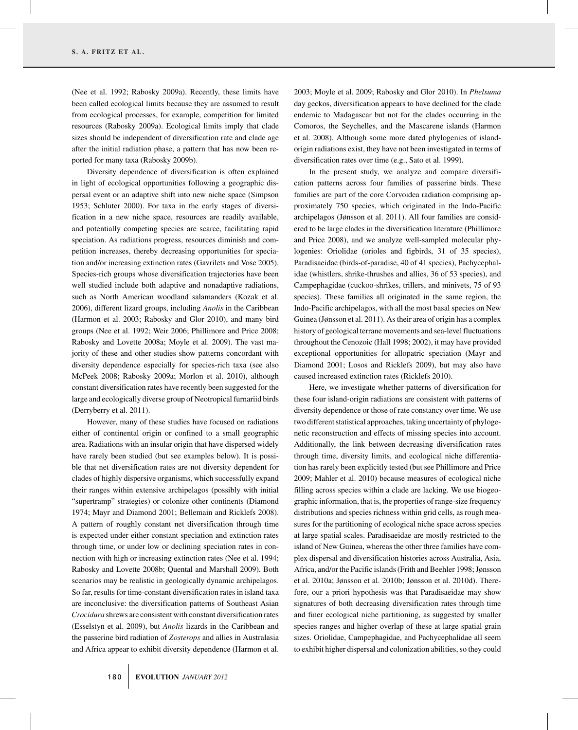(Nee et al. 1992; Rabosky 2009a). Recently, these limits have been called ecological limits because they are assumed to result from ecological processes, for example, competition for limited resources (Rabosky 2009a). Ecological limits imply that clade sizes should be independent of diversification rate and clade age after the initial radiation phase, a pattern that has now been reported for many taxa (Rabosky 2009b).

Diversity dependence of diversification is often explained in light of ecological opportunities following a geographic dispersal event or an adaptive shift into new niche space (Simpson 1953; Schluter 2000). For taxa in the early stages of diversification in a new niche space, resources are readily available, and potentially competing species are scarce, facilitating rapid speciation. As radiations progress, resources diminish and competition increases, thereby decreasing opportunities for speciation and/or increasing extinction rates (Gavrilets and Vose 2005). Species-rich groups whose diversification trajectories have been well studied include both adaptive and nonadaptive radiations, such as North American woodland salamanders (Kozak et al. 2006), different lizard groups, including *Anolis* in the Caribbean (Harmon et al. 2003; Rabosky and Glor 2010), and many bird groups (Nee et al. 1992; Weir 2006; Phillimore and Price 2008; Rabosky and Lovette 2008a; Moyle et al. 2009). The vast majority of these and other studies show patterns concordant with diversity dependence especially for species-rich taxa (see also McPeek 2008; Rabosky 2009a; Morlon et al. 2010), although constant diversification rates have recently been suggested for the large and ecologically diverse group of Neotropical furnariid birds (Derryberry et al. 2011).

However, many of these studies have focused on radiations either of continental origin or confined to a small geographic area. Radiations with an insular origin that have dispersed widely have rarely been studied (but see examples below). It is possible that net diversification rates are not diversity dependent for clades of highly dispersive organisms, which successfully expand their ranges within extensive archipelagos (possibly with initial "supertramp" strategies) or colonize other continents (Diamond 1974; Mayr and Diamond 2001; Bellemain and Ricklefs 2008). A pattern of roughly constant net diversification through time is expected under either constant speciation and extinction rates through time, or under low or declining speciation rates in connection with high or increasing extinction rates (Nee et al. 1994; Rabosky and Lovette 2008b; Quental and Marshall 2009). Both scenarios may be realistic in geologically dynamic archipelagos. So far, results for time-constant diversification rates in island taxa are inconclusive: the diversification patterns of Southeast Asian *Crocidura* shrews are consistent with constant diversification rates (Esselstyn et al. 2009), but *Anolis* lizards in the Caribbean and the passerine bird radiation of *Zosterops* and allies in Australasia and Africa appear to exhibit diversity dependence (Harmon et al.

2003; Moyle et al. 2009; Rabosky and Glor 2010). In *Phelsuma* day geckos, diversification appears to have declined for the clade endemic to Madagascar but not for the clades occurring in the Comoros, the Seychelles, and the Mascarene islands (Harmon et al. 2008). Although some more dated phylogenies of islandorigin radiations exist, they have not been investigated in terms of diversification rates over time (e.g., Sato et al. 1999).

In the present study, we analyze and compare diversification patterns across four families of passerine birds. These families are part of the core Corvoidea radiation comprising approximately 750 species, which originated in the Indo-Pacific archipelagos (Jønsson et al. 2011). All four families are considered to be large clades in the diversification literature (Phillimore and Price 2008), and we analyze well-sampled molecular phylogenies: Oriolidae (orioles and figbirds, 31 of 35 species), Paradisaeidae (birds-of-paradise, 40 of 41 species), Pachycephalidae (whistlers, shrike-thrushes and allies, 36 of 53 species), and Campephagidae (cuckoo-shrikes, trillers, and minivets, 75 of 93 species). These families all originated in the same region, the Indo-Pacific archipelagos, with all the most basal species on New Guinea (Jønsson et al. 2011). As their area of origin has a complex history of geological terrane movements and sea-level fluctuations throughout the Cenozoic (Hall 1998; 2002), it may have provided exceptional opportunities for allopatric speciation (Mayr and Diamond 2001; Losos and Ricklefs 2009), but may also have caused increased extinction rates (Ricklefs 2010).

Here, we investigate whether patterns of diversification for these four island-origin radiations are consistent with patterns of diversity dependence or those of rate constancy over time. We use two different statistical approaches, taking uncertainty of phylogenetic reconstruction and effects of missing species into account. Additionally, the link between decreasing diversification rates through time, diversity limits, and ecological niche differentiation has rarely been explicitly tested (but see Phillimore and Price 2009; Mahler et al. 2010) because measures of ecological niche filling across species within a clade are lacking. We use biogeographic information, that is, the properties of range-size frequency distributions and species richness within grid cells, as rough measures for the partitioning of ecological niche space across species at large spatial scales. Paradisaeidae are mostly restricted to the island of New Guinea, whereas the other three families have complex dispersal and diversification histories across Australia, Asia, Africa, and/or the Pacific islands (Frith and Beehler 1998; Jønsson et al. 2010a; Jønsson et al. 2010b; Jønsson et al. 2010d). Therefore, our a priori hypothesis was that Paradisaeidae may show signatures of both decreasing diversification rates through time and finer ecological niche partitioning, as suggested by smaller species ranges and higher overlap of these at large spatial grain sizes. Oriolidae, Campephagidae, and Pachycephalidae all seem to exhibit higher dispersal and colonization abilities, so they could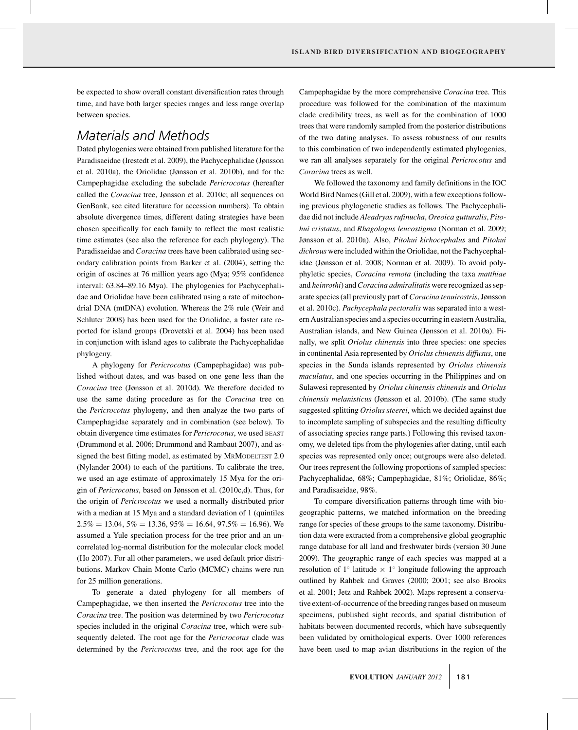be expected to show overall constant diversification rates through time, and have both larger species ranges and less range overlap between species.

# *Materials and Methods*

Dated phylogenies were obtained from published literature for the Paradisaeidae (Irestedt et al. 2009), the Pachycephalidae (Jønsson et al. 2010a), the Oriolidae (Jønsson et al. 2010b), and for the Campephagidae excluding the subclade *Pericrocotus* (hereafter called the *Coracina* tree, Jønsson et al. 2010c; all sequences on GenBank, see cited literature for accession numbers). To obtain absolute divergence times, different dating strategies have been chosen specifically for each family to reflect the most realistic time estimates (see also the reference for each phylogeny). The Paradisaeidae and *Coracina* trees have been calibrated using secondary calibration points from Barker et al. (2004), setting the origin of oscines at 76 million years ago (Mya; 95% confidence interval: 63.84–89.16 Mya). The phylogenies for Pachycephalidae and Oriolidae have been calibrated using a rate of mitochondrial DNA (mtDNA) evolution. Whereas the 2% rule (Weir and Schluter 2008) has been used for the Oriolidae, a faster rate reported for island groups (Drovetski et al. 2004) has been used in conjunction with island ages to calibrate the Pachycephalidae phylogeny.

A phylogeny for *Pericrocotus* (Campephagidae) was published without dates, and was based on one gene less than the *Coracina* tree (Jønsson et al. 2010d). We therefore decided to use the same dating procedure as for the *Coracina* tree on the *Pericrocotus* phylogeny, and then analyze the two parts of Campephagidae separately and in combination (see below). To obtain divergence time estimates for *Pericrocotus*, we used BEAST (Drummond et al. 2006; Drummond and Rambaut 2007), and assigned the best fitting model, as estimated by MRMODELTEST 2.0 (Nylander 2004) to each of the partitions. To calibrate the tree, we used an age estimate of approximately 15 Mya for the origin of *Pericrocotus*, based on Jønsson et al. (2010c,d). Thus, for the origin of *Pericrocotus* we used a normally distributed prior with a median at 15 Mya and a standard deviation of 1 (quintiles  $2.5\% = 13.04$ ,  $5\% = 13.36$ ,  $95\% = 16.64$ ,  $97.5\% = 16.96$ ). We assumed a Yule speciation process for the tree prior and an uncorrelated log-normal distribution for the molecular clock model (Ho 2007). For all other parameters, we used default prior distributions. Markov Chain Monte Carlo (MCMC) chains were run for 25 million generations.

To generate a dated phylogeny for all members of Campephagidae, we then inserted the *Pericrocotus* tree into the *Coracina* tree. The position was determined by two *Pericrocotus* species included in the original *Coracina* tree, which were subsequently deleted. The root age for the *Pericrocotus* clade was determined by the *Pericrocotus* tree, and the root age for the Campephagidae by the more comprehensive *Coracina* tree. This procedure was followed for the combination of the maximum clade credibility trees, as well as for the combination of 1000 trees that were randomly sampled from the posterior distributions of the two dating analyses. To assess robustness of our results to this combination of two independently estimated phylogenies, we ran all analyses separately for the original *Pericrocotus* and *Coracina* trees as well.

We followed the taxonomy and family definitions in the IOC World Bird Names (Gill et al. 2009), with a few exceptions following previous phylogenetic studies as follows. The Pachycephalidae did not include *Aleadryas rufinucha*, *Oreoica gutturalis*, *Pitohui cristatus*, and *Rhagologus leucostigma* (Norman et al. 2009; Jønsson et al. 2010a). Also, *Pitohui kirhocephalus* and *Pitohui dichrous* were included within the Oriolidae, not the Pachycephalidae (Jønsson et al. 2008; Norman et al. 2009). To avoid polyphyletic species, *Coracina remota* (including the taxa *matthiae* and *heinrothi*) and*Coracina admiralitatis* were recognized as separate species (all previously part of *Coracina tenuirostris*, Jønsson et al. 2010c). *Pachycephala pectoralis* was separated into a western Australian species and a species occurring in eastern Australia, Australian islands, and New Guinea (Jønsson et al. 2010a). Finally, we split *Oriolus chinensis* into three species: one species in continental Asia represented by *Oriolus chinensis diffusus*, one species in the Sunda islands represented by *Oriolus chinensis maculatus*, and one species occurring in the Philippines and on Sulawesi represented by *Oriolus chinensis chinensis* and *Oriolus chinensis melanisticus* (Jønsson et al. 2010b). (The same study suggested splitting *Oriolus steerei*, which we decided against due to incomplete sampling of subspecies and the resulting difficulty of associating species range parts.) Following this revised taxonomy, we deleted tips from the phylogenies after dating, until each species was represented only once; outgroups were also deleted. Our trees represent the following proportions of sampled species: Pachycephalidae, 68%; Campephagidae, 81%; Oriolidae, 86%; and Paradisaeidae, 98%.

To compare diversification patterns through time with biogeographic patterns, we matched information on the breeding range for species of these groups to the same taxonomy. Distribution data were extracted from a comprehensive global geographic range database for all land and freshwater birds (version 30 June 2009). The geographic range of each species was mapped at a resolution of  $1°$  latitude  $\times 1°$  longitude following the approach outlined by Rahbek and Graves (2000; 2001; see also Brooks et al. 2001; Jetz and Rahbek 2002). Maps represent a conservative extent-of-occurrence of the breeding ranges based on museum specimens, published sight records, and spatial distribution of habitats between documented records, which have subsequently been validated by ornithological experts. Over 1000 references have been used to map avian distributions in the region of the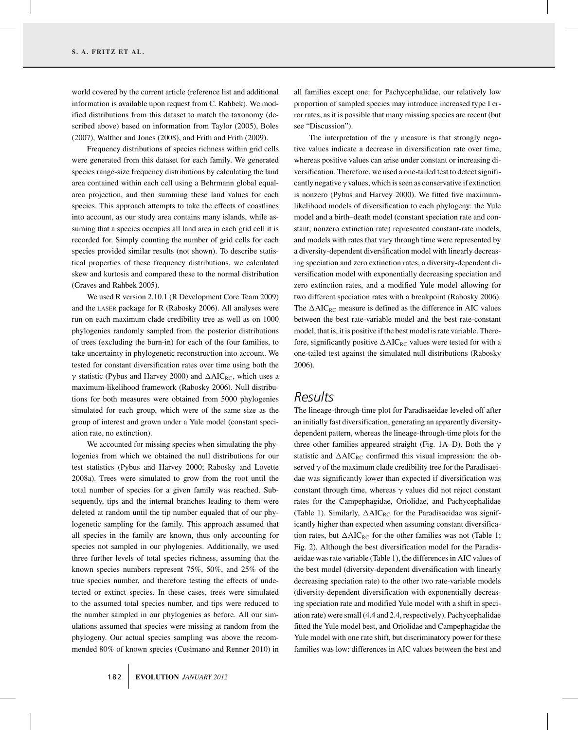world covered by the current article (reference list and additional information is available upon request from C. Rahbek). We modified distributions from this dataset to match the taxonomy (described above) based on information from Taylor (2005), Boles (2007), Walther and Jones (2008), and Frith and Frith (2009).

Frequency distributions of species richness within grid cells were generated from this dataset for each family. We generated species range-size frequency distributions by calculating the land area contained within each cell using a Behrmann global equalarea projection, and then summing these land values for each species. This approach attempts to take the effects of coastlines into account, as our study area contains many islands, while assuming that a species occupies all land area in each grid cell it is recorded for. Simply counting the number of grid cells for each species provided similar results (not shown). To describe statistical properties of these frequency distributions, we calculated skew and kurtosis and compared these to the normal distribution (Graves and Rahbek 2005).

We used R version 2.10.1 (R Development Core Team 2009) and the LASER package for R (Rabosky 2006). All analyses were run on each maximum clade credibility tree as well as on 1000 phylogenies randomly sampled from the posterior distributions of trees (excluding the burn-in) for each of the four families, to take uncertainty in phylogenetic reconstruction into account. We tested for constant diversification rates over time using both the  $γ$  statistic (Pybus and Harvey 2000) and  $ΔAIC_{RC}$ , which uses a maximum-likelihood framework (Rabosky 2006). Null distributions for both measures were obtained from 5000 phylogenies simulated for each group, which were of the same size as the group of interest and grown under a Yule model (constant speciation rate, no extinction).

We accounted for missing species when simulating the phylogenies from which we obtained the null distributions for our test statistics (Pybus and Harvey 2000; Rabosky and Lovette 2008a). Trees were simulated to grow from the root until the total number of species for a given family was reached. Subsequently, tips and the internal branches leading to them were deleted at random until the tip number equaled that of our phylogenetic sampling for the family. This approach assumed that all species in the family are known, thus only accounting for species not sampled in our phylogenies. Additionally, we used three further levels of total species richness, assuming that the known species numbers represent 75%, 50%, and 25% of the true species number, and therefore testing the effects of undetected or extinct species. In these cases, trees were simulated to the assumed total species number, and tips were reduced to the number sampled in our phylogenies as before. All our simulations assumed that species were missing at random from the phylogeny. Our actual species sampling was above the recommended 80% of known species (Cusimano and Renner 2010) in all families except one: for Pachycephalidae, our relatively low proportion of sampled species may introduce increased type I error rates, as it is possible that many missing species are recent (but see "Discussion").

The interpretation of the  $\gamma$  measure is that strongly negative values indicate a decrease in diversification rate over time, whereas positive values can arise under constant or increasing diversification. Therefore, we used a one-tailed test to detect significantly negative  $\gamma$  values, which is seen as conservative if extinction is nonzero (Pybus and Harvey 2000). We fitted five maximumlikelihood models of diversification to each phylogeny: the Yule model and a birth–death model (constant speciation rate and constant, nonzero extinction rate) represented constant-rate models, and models with rates that vary through time were represented by a diversity-dependent diversification model with linearly decreasing speciation and zero extinction rates, a diversity-dependent diversification model with exponentially decreasing speciation and zero extinction rates, and a modified Yule model allowing for two different speciation rates with a breakpoint (Rabosky 2006). The  $\triangle AIC_{RC}$  measure is defined as the difference in AIC values between the best rate-variable model and the best rate-constant model, that is, it is positive if the best model is rate variable. Therefore, significantly positive  $\Delta AIC_{RC}$  values were tested for with a one-tailed test against the simulated null distributions (Rabosky 2006).

### *Results*

The lineage-through-time plot for Paradisaeidae leveled off after an initially fast diversification, generating an apparently diversitydependent pattern, whereas the lineage-through-time plots for the three other families appeared straight (Fig. 1A–D). Both the  $\gamma$ statistic and  $\Delta AIC_{RC}$  confirmed this visual impression: the observed  $\gamma$  of the maximum clade credibility tree for the Paradisaeidae was significantly lower than expected if diversification was constant through time, whereas  $\gamma$  values did not reject constant rates for the Campephagidae, Oriolidae, and Pachycephalidae (Table 1). Similarly,  $\Delta AIC_{RC}$  for the Paradisaeidae was significantly higher than expected when assuming constant diversification rates, but  $\Delta AIC_{RC}$  for the other families was not (Table 1; Fig. 2). Although the best diversification model for the Paradisaeidae was rate variable (Table 1), the differences in AIC values of the best model (diversity-dependent diversification with linearly decreasing speciation rate) to the other two rate-variable models (diversity-dependent diversification with exponentially decreasing speciation rate and modified Yule model with a shift in speciation rate) were small (4.4 and 2.4, respectively). Pachycephalidae fitted the Yule model best, and Oriolidae and Campephagidae the Yule model with one rate shift, but discriminatory power for these families was low: differences in AIC values between the best and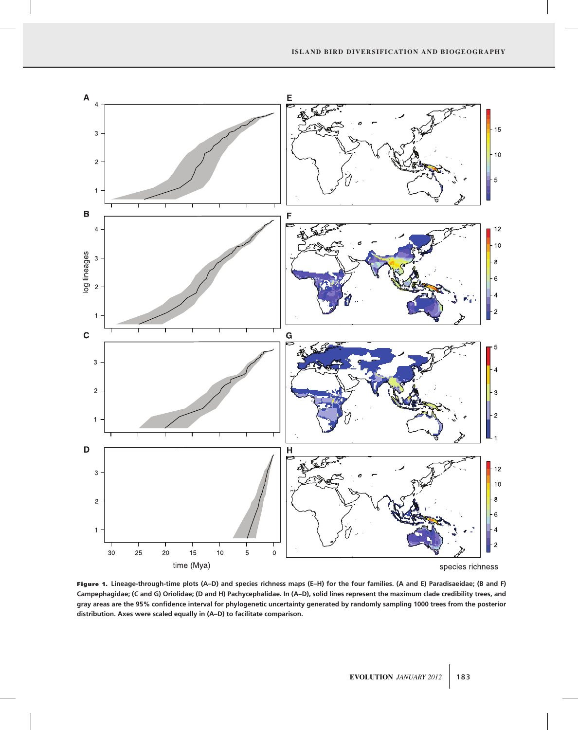

**Figure 1. Lineage-through-time plots (A–D) and species richness maps (E–H) for the four families. (A and E) Paradisaeidae; (B and F) Campephagidae; (C and G) Oriolidae; (D and H) Pachycephalidae. In (A–D), solid lines represent the maximum clade credibility trees, and gray areas are the 95% confidence interval for phylogenetic uncertainty generated by randomly sampling 1000 trees from the posterior distribution. Axes were scaled equally in (A–D) to facilitate comparison.**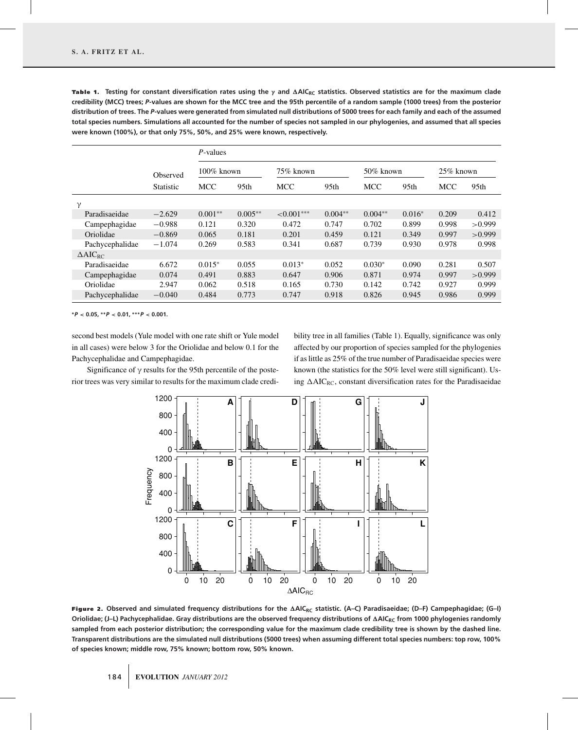|                      | Observed<br>Statistic | <i>P</i> -values |           |             |                  |            |          |            |        |  |
|----------------------|-----------------------|------------------|-----------|-------------|------------------|------------|----------|------------|--------|--|
|                      |                       | 100% known       |           | 75% known   |                  | 50% known  |          | 25% known  |        |  |
|                      |                       | <b>MCC</b>       | 95th      | <b>MCC</b>  | 95 <sub>th</sub> | <b>MCC</b> | 95th     | <b>MCC</b> | 95th   |  |
| γ                    |                       |                  |           |             |                  |            |          |            |        |  |
| Paradisaeidae        | $-2.629$              | $0.001**$        | $0.005**$ | $<0.001***$ | $0.004**$        | $0.004**$  | $0.016*$ | 0.209      | 0.412  |  |
| Campephagidae        | $-0.988$              | 0.121            | 0.320     | 0.472       | 0.747            | 0.702      | 0.899    | 0.998      | >0.999 |  |
| Oriolidae            | $-0.869$              | 0.065            | 0.181     | 0.201       | 0.459            | 0.121      | 0.349    | 0.997      | >0.999 |  |
| Pachycephalidae      | $-1.074$              | 0.269            | 0.583     | 0.341       | 0.687            | 0.739      | 0.930    | 0.978      | 0.998  |  |
| $\triangle AIC_{RC}$ |                       |                  |           |             |                  |            |          |            |        |  |
| Paradisaeidae        | 6.672                 | $0.015*$         | 0.055     | $0.013*$    | 0.052            | $0.030*$   | 0.090    | 0.281      | 0.507  |  |
| Campephagidae        | 0.074                 | 0.491            | 0.883     | 0.647       | 0.906            | 0.871      | 0.974    | 0.997      | >0.999 |  |
| Oriolidae            | 2.947                 | 0.062            | 0.518     | 0.165       | 0.730            | 0.142      | 0.742    | 0.927      | 0.999  |  |
| Pachycephalidae      | $-0.040$              | 0.484            | 0.773     | 0.747       | 0.918            | 0.826      | 0.945    | 0.986      | 0.999  |  |

**Table 1.** Testing for constant diversification rates using the γ and ΔAICRC statistics. Observed statistics are for the maximum clade **credibility (MCC) trees;** *P***-values are shown for the MCC tree and the 95th percentile of a random sample (1000 trees) from the posterior distribution of trees. The** *P***-values were generated from simulated null distributions of 5000 trees for each family and each of the assumed total species numbers. Simulations all accounted for the number of species not sampled in our phylogenies, and assumed that all species were known (100%), or that only 75%, 50%, and 25% were known, respectively.**

**∗***P* **< 0.05, ∗∗***P* **< 0.01, ∗∗∗***P* **< 0.001.**

second best models (Yule model with one rate shift or Yule model in all cases) were below 3 for the Oriolidae and below 0.1 for the Pachycephalidae and Campephagidae.

Significance of  $\gamma$  results for the 95th percentile of the posterior trees was very similar to results for the maximum clade credibility tree in all families (Table 1). Equally, significance was only affected by our proportion of species sampled for the phylogenies if as little as 25% of the true number of Paradisaeidae species were known (the statistics for the 50% level were still significant). Using  $\Delta AIC_{RC}$ , constant diversification rates for the Paradisaeidae



**Figure 2.** Observed and simulated frequency distributions for the ∆AIC<sub>RC</sub> statistic. (A–C) Paradisaeidae; (D–F) Campephagidae; (G–I) **Oriolidae; (J–L) Pachycephalidae. Gray distributions are the observed frequency distributions of ΔAIC<sub>RC</sub> from 1000 phylogenies randomly sampled from each posterior distribution; the corresponding value for the maximum clade credibility tree is shown by the dashed line. Transparent distributions are the simulated null distributions (5000 trees) when assuming different total species numbers: top row, 100% of species known; middle row, 75% known; bottom row, 50% known.**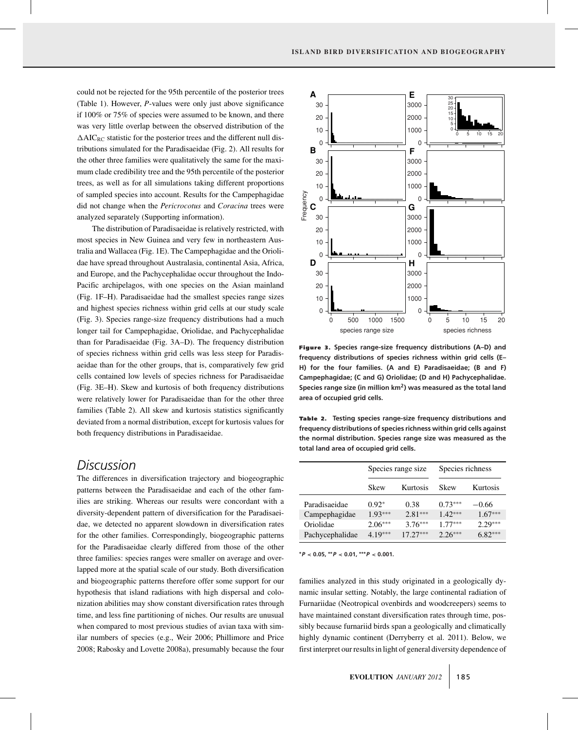could not be rejected for the 95th percentile of the posterior trees (Table 1). However, *P*-values were only just above significance if 100% or 75% of species were assumed to be known, and there was very little overlap between the observed distribution of the  $\Delta AIC_{RC}$  statistic for the posterior trees and the different null distributions simulated for the Paradisaeidae (Fig. 2). All results for the other three families were qualitatively the same for the maximum clade credibility tree and the 95th percentile of the posterior trees, as well as for all simulations taking different proportions of sampled species into account. Results for the Campephagidae did not change when the *Pericrocotus* and *Coracina* trees were analyzed separately (Supporting information).

The distribution of Paradisaeidae is relatively restricted, with most species in New Guinea and very few in northeastern Australia and Wallacea (Fig. 1E). The Campephagidae and the Oriolidae have spread throughout Australasia, continental Asia, Africa, and Europe, and the Pachycephalidae occur throughout the Indo-Pacific archipelagos, with one species on the Asian mainland (Fig. 1F–H). Paradisaeidae had the smallest species range sizes and highest species richness within grid cells at our study scale (Fig. 3). Species range-size frequency distributions had a much longer tail for Campephagidae, Oriolidae, and Pachycephalidae than for Paradisaeidae (Fig. 3A–D). The frequency distribution of species richness within grid cells was less steep for Paradisaeidae than for the other groups, that is, comparatively few grid cells contained low levels of species richness for Paradisaeidae (Fig. 3E–H). Skew and kurtosis of both frequency distributions were relatively lower for Paradisaeidae than for the other three families (Table 2). All skew and kurtosis statistics significantly deviated from a normal distribution, except for kurtosis values for both frequency distributions in Paradisaeidae.

### *Discussion*

The differences in diversification trajectory and biogeographic patterns between the Paradisaeidae and each of the other families are striking. Whereas our results were concordant with a diversity-dependent pattern of diversification for the Paradisaeidae, we detected no apparent slowdown in diversification rates for the other families. Correspondingly, biogeographic patterns for the Paradisaeidae clearly differed from those of the other three families: species ranges were smaller on average and overlapped more at the spatial scale of our study. Both diversification and biogeographic patterns therefore offer some support for our hypothesis that island radiations with high dispersal and colonization abilities may show constant diversification rates through time, and less fine partitioning of niches. Our results are unusual when compared to most previous studies of avian taxa with similar numbers of species (e.g., Weir 2006; Phillimore and Price 2008; Rabosky and Lovette 2008a), presumably because the four



**Figure 3. Species range-size frequency distributions (A–D) and frequency distributions of species richness within grid cells (E– H) for the four families. (A and E) Paradisaeidae; (B and F) Campephagidae; (C and G) Oriolidae; (D and H) Pachycephalidae. Species range size (in million km2) was measured as the total land area of occupied grid cells.**

**Table 2.** Testing species range-size frequency distributions and **frequency distributions of species richness within grid cells against the normal distribution. Species range size was measured as the total land area of occupied grid cells.**

|                 |           | Species range size | Species richness |           |  |  |
|-----------------|-----------|--------------------|------------------|-----------|--|--|
|                 | Skew      | Kurtosis           | Skew             | Kurtosis  |  |  |
| Paradisaeidae   | $0.92*$   | 0.38               | $0.73***$        | $-0.66$   |  |  |
| Campephagidae   | $1.93***$ | $2.81***$          | $1.42***$        | $1.67***$ |  |  |
| Oriolidae       | $2.06***$ | $3.76***$          | $177***$         | $2.29***$ |  |  |
| Pachycephalidae | $4.19***$ | $17.27***$         | $2.26***$        | $6.82***$ |  |  |

**∗***P* **< 0.05, ∗∗***P* **< 0.01, ∗∗∗***P* **< 0.001.**

families analyzed in this study originated in a geologically dynamic insular setting. Notably, the large continental radiation of Furnariidae (Neotropical ovenbirds and woodcreepers) seems to have maintained constant diversification rates through time, possibly because furnariid birds span a geologically and climatically highly dynamic continent (Derryberry et al. 2011). Below, we first interpret our results in light of general diversity dependence of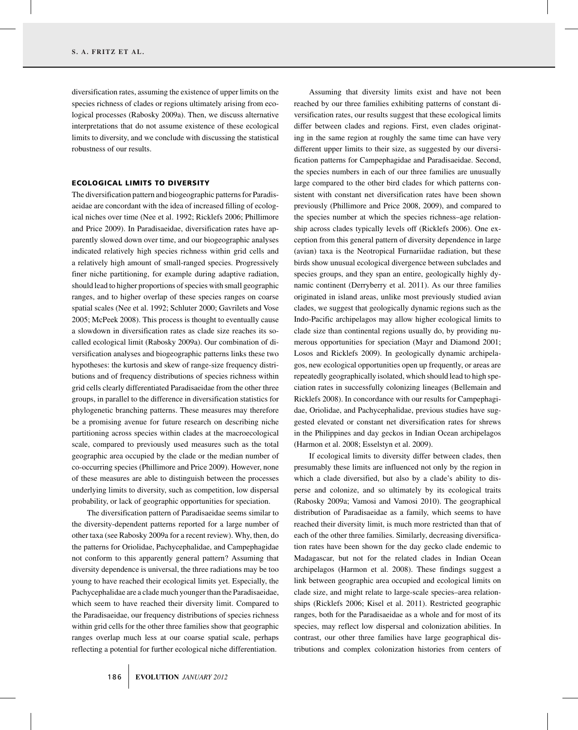diversification rates, assuming the existence of upper limits on the species richness of clades or regions ultimately arising from ecological processes (Rabosky 2009a). Then, we discuss alternative interpretations that do not assume existence of these ecological limits to diversity, and we conclude with discussing the statistical robustness of our results.

### **ECOLOGICAL LIMITS TO DIVERSITY**

The diversification pattern and biogeographic patterns for Paradisaeidae are concordant with the idea of increased filling of ecological niches over time (Nee et al. 1992; Ricklefs 2006; Phillimore and Price 2009). In Paradisaeidae, diversification rates have apparently slowed down over time, and our biogeographic analyses indicated relatively high species richness within grid cells and a relatively high amount of small-ranged species. Progressively finer niche partitioning, for example during adaptive radiation, should lead to higher proportions of species with small geographic ranges, and to higher overlap of these species ranges on coarse spatial scales (Nee et al. 1992; Schluter 2000; Gavrilets and Vose 2005; McPeek 2008). This process is thought to eventually cause a slowdown in diversification rates as clade size reaches its socalled ecological limit (Rabosky 2009a). Our combination of diversification analyses and biogeographic patterns links these two hypotheses: the kurtosis and skew of range-size frequency distributions and of frequency distributions of species richness within grid cells clearly differentiated Paradisaeidae from the other three groups, in parallel to the difference in diversification statistics for phylogenetic branching patterns. These measures may therefore be a promising avenue for future research on describing niche partitioning across species within clades at the macroecological scale, compared to previously used measures such as the total geographic area occupied by the clade or the median number of co-occurring species (Phillimore and Price 2009). However, none of these measures are able to distinguish between the processes underlying limits to diversity, such as competition, low dispersal probability, or lack of geographic opportunities for speciation.

The diversification pattern of Paradisaeidae seems similar to the diversity-dependent patterns reported for a large number of other taxa (see Rabosky 2009a for a recent review). Why, then, do the patterns for Oriolidae, Pachycephalidae, and Campephagidae not conform to this apparently general pattern? Assuming that diversity dependence is universal, the three radiations may be too young to have reached their ecological limits yet. Especially, the Pachycephalidae are a clade much younger than the Paradisaeidae, which seem to have reached their diversity limit. Compared to the Paradisaeidae, our frequency distributions of species richness within grid cells for the other three families show that geographic ranges overlap much less at our coarse spatial scale, perhaps reflecting a potential for further ecological niche differentiation.

Assuming that diversity limits exist and have not been reached by our three families exhibiting patterns of constant diversification rates, our results suggest that these ecological limits differ between clades and regions. First, even clades originating in the same region at roughly the same time can have very different upper limits to their size, as suggested by our diversification patterns for Campephagidae and Paradisaeidae. Second, the species numbers in each of our three families are unusually large compared to the other bird clades for which patterns consistent with constant net diversification rates have been shown previously (Phillimore and Price 2008, 2009), and compared to the species number at which the species richness–age relationship across clades typically levels off (Ricklefs 2006). One exception from this general pattern of diversity dependence in large (avian) taxa is the Neotropical Furnariidae radiation, but these birds show unusual ecological divergence between subclades and species groups, and they span an entire, geologically highly dynamic continent (Derryberry et al. 2011). As our three families originated in island areas, unlike most previously studied avian clades, we suggest that geologically dynamic regions such as the Indo-Pacific archipelagos may allow higher ecological limits to clade size than continental regions usually do, by providing numerous opportunities for speciation (Mayr and Diamond 2001; Losos and Ricklefs 2009). In geologically dynamic archipelagos, new ecological opportunities open up frequently, or areas are repeatedly geographically isolated, which should lead to high speciation rates in successfully colonizing lineages (Bellemain and Ricklefs 2008). In concordance with our results for Campephagidae, Oriolidae, and Pachycephalidae, previous studies have suggested elevated or constant net diversification rates for shrews in the Philippines and day geckos in Indian Ocean archipelagos (Harmon et al. 2008; Esselstyn et al. 2009).

If ecological limits to diversity differ between clades, then presumably these limits are influenced not only by the region in which a clade diversified, but also by a clade's ability to disperse and colonize, and so ultimately by its ecological traits (Rabosky 2009a; Vamosi and Vamosi 2010). The geographical distribution of Paradisaeidae as a family, which seems to have reached their diversity limit, is much more restricted than that of each of the other three families. Similarly, decreasing diversification rates have been shown for the day gecko clade endemic to Madagascar, but not for the related clades in Indian Ocean archipelagos (Harmon et al. 2008). These findings suggest a link between geographic area occupied and ecological limits on clade size, and might relate to large-scale species–area relationships (Ricklefs 2006; Kisel et al. 2011). Restricted geographic ranges, both for the Paradisaeidae as a whole and for most of its species, may reflect low dispersal and colonization abilities. In contrast, our other three families have large geographical distributions and complex colonization histories from centers of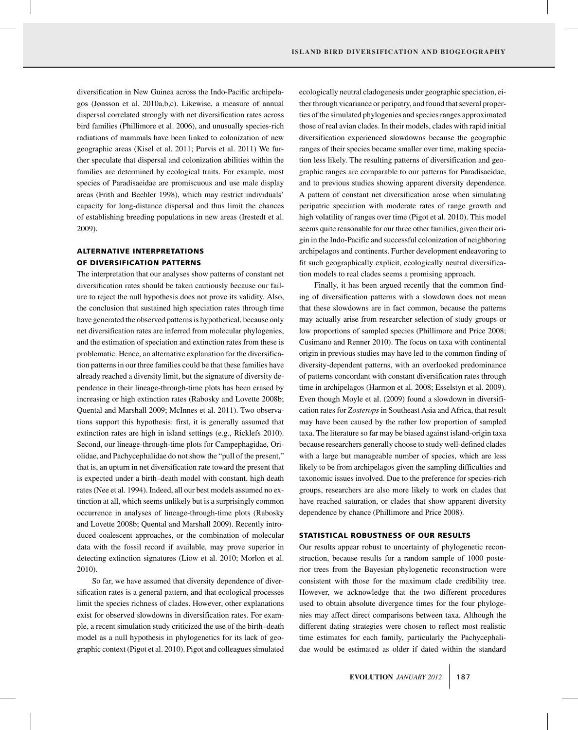diversification in New Guinea across the Indo-Pacific archipelagos (Jønsson et al. 2010a,b,c). Likewise, a measure of annual dispersal correlated strongly with net diversification rates across bird families (Phillimore et al. 2006), and unusually species-rich radiations of mammals have been linked to colonization of new geographic areas (Kisel et al. 2011; Purvis et al. 2011) We further speculate that dispersal and colonization abilities within the families are determined by ecological traits. For example, most species of Paradisaeidae are promiscuous and use male display areas (Frith and Beehler 1998), which may restrict individuals' capacity for long-distance dispersal and thus limit the chances of establishing breeding populations in new areas (Irestedt et al. 2009).

### **ALTERNATIVE INTERPRETATIONS OF DIVERSIFICATION PATTERNS**

The interpretation that our analyses show patterns of constant net diversification rates should be taken cautiously because our failure to reject the null hypothesis does not prove its validity. Also, the conclusion that sustained high speciation rates through time have generated the observed patterns is hypothetical, because only net diversification rates are inferred from molecular phylogenies, and the estimation of speciation and extinction rates from these is problematic. Hence, an alternative explanation for the diversification patterns in our three families could be that these families have already reached a diversity limit, but the signature of diversity dependence in their lineage-through-time plots has been erased by increasing or high extinction rates (Rabosky and Lovette 2008b; Quental and Marshall 2009; McInnes et al. 2011). Two observations support this hypothesis: first, it is generally assumed that extinction rates are high in island settings (e.g., Ricklefs 2010). Second, our lineage-through-time plots for Campephagidae, Oriolidae, and Pachycephalidae do not show the "pull of the present," that is, an upturn in net diversification rate toward the present that is expected under a birth–death model with constant, high death rates (Nee et al. 1994). Indeed, all our best models assumed no extinction at all, which seems unlikely but is a surprisingly common occurrence in analyses of lineage-through-time plots (Rabosky and Lovette 2008b; Quental and Marshall 2009). Recently introduced coalescent approaches, or the combination of molecular data with the fossil record if available, may prove superior in detecting extinction signatures (Liow et al. 2010; Morlon et al. 2010).

So far, we have assumed that diversity dependence of diversification rates is a general pattern, and that ecological processes limit the species richness of clades. However, other explanations exist for observed slowdowns in diversification rates. For example, a recent simulation study criticized the use of the birth–death model as a null hypothesis in phylogenetics for its lack of geographic context (Pigot et al. 2010). Pigot and colleagues simulated ecologically neutral cladogenesis under geographic speciation, either through vicariance or peripatry, and found that several properties of the simulated phylogenies and species ranges approximated those of real avian clades. In their models, clades with rapid initial diversification experienced slowdowns because the geographic ranges of their species became smaller over time, making speciation less likely. The resulting patterns of diversification and geographic ranges are comparable to our patterns for Paradisaeidae, and to previous studies showing apparent diversity dependence. A pattern of constant net diversification arose when simulating peripatric speciation with moderate rates of range growth and high volatility of ranges over time (Pigot et al. 2010). This model seems quite reasonable for our three other families, given their origin in the Indo-Pacific and successful colonization of neighboring archipelagos and continents. Further development endeavoring to fit such geographically explicit, ecologically neutral diversification models to real clades seems a promising approach.

Finally, it has been argued recently that the common finding of diversification patterns with a slowdown does not mean that these slowdowns are in fact common, because the patterns may actually arise from researcher selection of study groups or low proportions of sampled species (Phillimore and Price 2008; Cusimano and Renner 2010). The focus on taxa with continental origin in previous studies may have led to the common finding of diversity-dependent patterns, with an overlooked predominance of patterns concordant with constant diversification rates through time in archipelagos (Harmon et al. 2008; Esselstyn et al. 2009). Even though Moyle et al. (2009) found a slowdown in diversification rates for *Zosterops* in Southeast Asia and Africa, that result may have been caused by the rather low proportion of sampled taxa. The literature so far may be biased against island-origin taxa because researchers generally choose to study well-defined clades with a large but manageable number of species, which are less likely to be from archipelagos given the sampling difficulties and taxonomic issues involved. Due to the preference for species-rich groups, researchers are also more likely to work on clades that have reached saturation, or clades that show apparent diversity dependence by chance (Phillimore and Price 2008).

#### **STATISTICAL ROBUSTNESS OF OUR RESULTS**

Our results appear robust to uncertainty of phylogenetic reconstruction, because results for a random sample of 1000 posterior trees from the Bayesian phylogenetic reconstruction were consistent with those for the maximum clade credibility tree. However, we acknowledge that the two different procedures used to obtain absolute divergence times for the four phylogenies may affect direct comparisons between taxa. Although the different dating strategies were chosen to reflect most realistic time estimates for each family, particularly the Pachycephalidae would be estimated as older if dated within the standard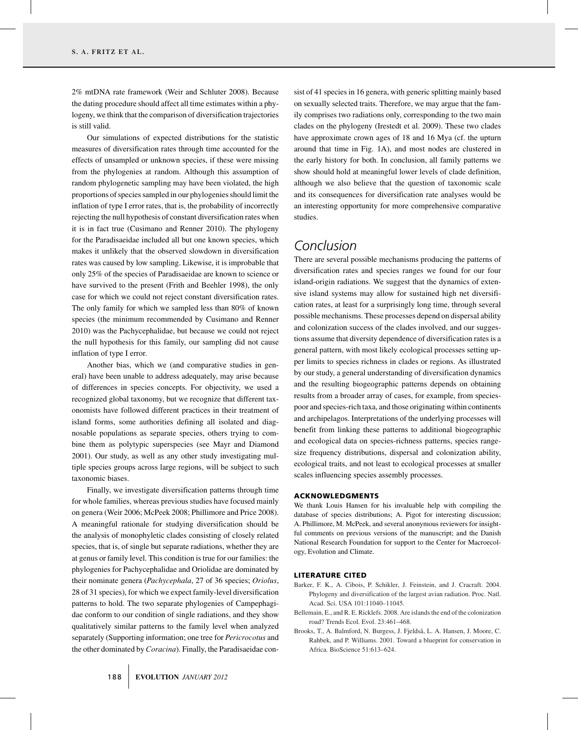2% mtDNA rate framework (Weir and Schluter 2008). Because the dating procedure should affect all time estimates within a phylogeny, we think that the comparison of diversification trajectories is still valid.

Our simulations of expected distributions for the statistic measures of diversification rates through time accounted for the effects of unsampled or unknown species, if these were missing from the phylogenies at random. Although this assumption of random phylogenetic sampling may have been violated, the high proportions of species sampled in our phylogenies should limit the inflation of type I error rates, that is, the probability of incorrectly rejecting the null hypothesis of constant diversification rates when it is in fact true (Cusimano and Renner 2010). The phylogeny for the Paradisaeidae included all but one known species, which makes it unlikely that the observed slowdown in diversification rates was caused by low sampling. Likewise, it is improbable that only 25% of the species of Paradisaeidae are known to science or have survived to the present (Frith and Beehler 1998), the only case for which we could not reject constant diversification rates. The only family for which we sampled less than 80% of known species (the minimum recommended by Cusimano and Renner 2010) was the Pachycephalidae, but because we could not reject the null hypothesis for this family, our sampling did not cause inflation of type I error.

Another bias, which we (and comparative studies in general) have been unable to address adequately, may arise because of differences in species concepts. For objectivity, we used a recognized global taxonomy, but we recognize that different taxonomists have followed different practices in their treatment of island forms, some authorities defining all isolated and diagnosable populations as separate species, others trying to combine them as polytypic superspecies (see Mayr and Diamond 2001). Our study, as well as any other study investigating multiple species groups across large regions, will be subject to such taxonomic biases.

Finally, we investigate diversification patterns through time for whole families, whereas previous studies have focused mainly on genera (Weir 2006; McPeek 2008; Phillimore and Price 2008). A meaningful rationale for studying diversification should be the analysis of monophyletic clades consisting of closely related species, that is, of single but separate radiations, whether they are at genus or family level. This condition is true for our families: the phylogenies for Pachycephalidae and Oriolidae are dominated by their nominate genera (*Pachycephala*, 27 of 36 species; *Oriolus*, 28 of 31 species), for which we expect family-level diversification patterns to hold. The two separate phylogenies of Campephagidae conform to our condition of single radiations, and they show qualitatively similar patterns to the family level when analyzed separately (Supporting information; one tree for *Pericrocotus* and the other dominated by *Coracina*). Finally, the Paradisaeidae consist of 41 species in 16 genera, with generic splitting mainly based on sexually selected traits. Therefore, we may argue that the family comprises two radiations only, corresponding to the two main clades on the phylogeny (Irestedt et al. 2009). These two clades have approximate crown ages of 18 and 16 Mya (cf. the upturn around that time in Fig. 1A), and most nodes are clustered in the early history for both. In conclusion, all family patterns we show should hold at meaningful lower levels of clade definition, although we also believe that the question of taxonomic scale and its consequences for diversification rate analyses would be an interesting opportunity for more comprehensive comparative studies.

## *Conclusion*

There are several possible mechanisms producing the patterns of diversification rates and species ranges we found for our four island-origin radiations. We suggest that the dynamics of extensive island systems may allow for sustained high net diversification rates, at least for a surprisingly long time, through several possible mechanisms. These processes depend on dispersal ability and colonization success of the clades involved, and our suggestions assume that diversity dependence of diversification rates is a general pattern, with most likely ecological processes setting upper limits to species richness in clades or regions. As illustrated by our study, a general understanding of diversification dynamics and the resulting biogeographic patterns depends on obtaining results from a broader array of cases, for example, from speciespoor and species-rich taxa, and those originating within continents and archipelagos. Interpretations of the underlying processes will benefit from linking these patterns to additional biogeographic and ecological data on species-richness patterns, species rangesize frequency distributions, dispersal and colonization ability, ecological traits, and not least to ecological processes at smaller scales influencing species assembly processes.

#### **ACKNOWLEDGMENTS**

We thank Louis Hansen for his invaluable help with compiling the database of species distributions; A. Pigot for interesting discussion; A. Phillimore, M. McPeek, and several anonymous reviewers for insightful comments on previous versions of the manuscript; and the Danish National Research Foundation for support to the Center for Macroecology, Evolution and Climate.

#### **LITERATURE CITED**

- Barker, F. K., A. Cibois, P. Schikler, J. Feinstein, and J. Cracraft. 2004. Phylogeny and diversification of the largest avian radiation. Proc. Natl. Acad. Sci. USA 101:11040–11045.
- Bellemain, E., and R. E. Ricklefs. 2008. Are islands the end of the colonization road? Trends Ecol. Evol. 23:461–468.
- Brooks, T., A. Balmford, N. Burgess, J. Fjeldså, L. A. Hansen, J. Moore, C. Rahbek, and P. Williams. 2001. Toward a blueprint for conservation in Africa. BioScience 51:613–624.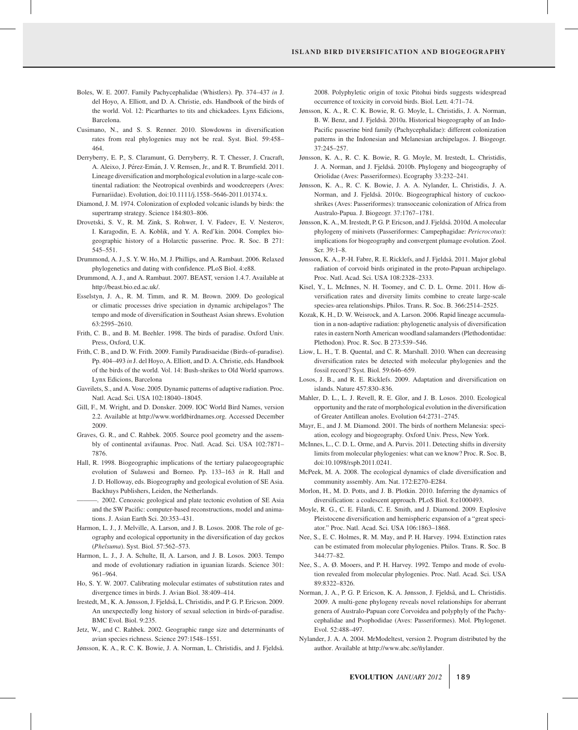- Boles, W. E. 2007. Family Pachycephalidae (Whistlers). Pp. 374–437 *in* J. del Hoyo, A. Elliott, and D. A. Christie, eds. Handbook of the birds of the world. Vol. 12: Picarthartes to tits and chickadees. Lynx Edicions, Barcelona.
- Cusimano, N., and S. S. Renner. 2010. Slowdowns in diversification rates from real phylogenies may not be real. Syst. Biol. 59:458– 464.
- Derryberry, E. P., S. Claramunt, G. Derryberry, R. T. Chesser, J. Cracraft, A. Aleixo, J. Pérez-Emán, J. V. Remsen, Jr., and R. T. Brumfield. 2011. Lineage diversification and morphological evolution in a large-scale continental radiation: the Neotropical ovenbirds and woodcreepers (Aves: Furnariidae). Evolution, doi:10.1111/j.1558–5646-2011.01374.x.
- Diamond, J. M. 1974. Colonization of exploded volcanic islands by birds: the supertramp strategy. Science 184:803–806.
- Drovetski, S. V., R. M. Zink, S. Rohwer, I. V. Fadeev, E. V. Nesterov, I. Karagodin, E. A. Koblik, and Y. A. Red'kin. 2004. Complex biogeographic history of a Holarctic passerine. Proc. R. Soc. B 271: 545–551.
- Drummond, A. J., S. Y. W. Ho, M. J. Phillips, and A. Rambaut. 2006. Relaxed phylogenetics and dating with confidence. PLoS Biol. 4:e88.
- Drummond, A. J., and A. Rambaut. 2007. BEAST, version 1.4.7. Available at http://beast.bio.ed.ac.uk/.
- Esselstyn, J. A., R. M. Timm, and R. M. Brown. 2009. Do geological or climatic processes drive speciation in dynamic archipelagos? The tempo and mode of diversification in Southeast Asian shrews. Evolution 63:2595–2610.
- Frith, C. B., and B. M. Beehler. 1998. The birds of paradise. Oxford Univ. Press, Oxford, U.K.
- Frith, C. B., and D. W. Frith. 2009. Family Paradisaeidae (Birds-of-paradise). Pp. 404–493 *in* J. del Hoyo, A. Elliott, and D. A. Christie, eds. Handbook of the birds of the world. Vol. 14: Bush-shrikes to Old World sparrows. Lynx Edicions, Barcelona
- Gavrilets, S., and A. Vose. 2005. Dynamic patterns of adaptive radiation. Proc. Natl. Acad. Sci. USA 102:18040–18045.
- Gill, F., M. Wright, and D. Donsker. 2009. IOC World Bird Names, version 2.2. Available at http://www.worldbirdnames.org. Accessed December 2009.
- Graves, G. R., and C. Rahbek. 2005. Source pool geometry and the assembly of continental avifaunas. Proc. Natl. Acad. Sci. USA 102:7871– 7876.
- Hall, R. 1998. Biogeographic implications of the tertiary palaeogeographic evolution of Sulawesi and Borneo. Pp. 133–163 *in* R. Hall and J. D. Holloway, eds. Biogeography and geological evolution of SE Asia. Backhuys Publishers, Leiden, the Netherlands.
	- -. 2002. Cenozoic geological and plate tectonic evolution of SE Asia and the SW Pacific: computer-based reconstructions, model and animations. J. Asian Earth Sci. 20:353–431.
- Harmon, L. J., J. Melville, A. Larson, and J. B. Losos. 2008. The role of geography and ecological opportunity in the diversification of day geckos (*Phelsuma*). Syst. Biol. 57:562–573.
- Harmon, L. J., J. A. Schulte, II, A. Larson, and J. B. Losos. 2003. Tempo and mode of evolutionary radiation in iguanian lizards. Science 301: 961–964.
- Ho, S. Y. W. 2007. Calibrating molecular estimates of substitution rates and divergence times in birds. J. Avian Biol. 38:409–414.
- Irestedt, M., K. A. Jønsson, J. Fjeldså, L. Christidis, and P. G. P. Ericson. 2009. An unexpectedly long history of sexual selection in birds-of-paradise. BMC Evol. Biol. 9:235.
- Jetz, W., and C. Rahbek. 2002. Geographic range size and determinants of avian species richness. Science 297:1548–1551.
- Jønsson, K. A., R. C. K. Bowie, J. A. Norman, L. Christidis, and J. Fjeldså.

2008. Polyphyletic origin of toxic Pitohui birds suggests widespread occurrence of toxicity in corvoid birds. Biol. Lett. 4:71–74.

- Jønsson, K. A., R. C. K. Bowie, R. G. Moyle, L. Christidis, J. A. Norman, B. W. Benz, and J. Fjeldså. 2010a. Historical biogeography of an Indo-Pacific passerine bird family (Pachycephalidae): different colonization patterns in the Indonesian and Melanesian archipelagos. J. Biogeogr. 37:245–257.
- Jønsson, K. A., R. C. K. Bowie, R. G. Moyle, M. Irestedt, L. Christidis, J. A. Norman, and J. Fjeldså. 2010b. Phylogeny and biogeography of Oriolidae (Aves: Passeriformes). Ecography 33:232–241.
- Jønsson, K. A., R. C. K. Bowie, J. A. A. Nylander, L. Christidis, J. A. Norman, and J. Fjeldså. 2010c. Biogeographical history of cuckooshrikes (Aves: Passeriformes): transoceanic colonization of Africa from Australo-Papua. J. Biogeogr. 37:1767–1781.
- Jønsson, K. A., M. Irestedt, P. G. P. Ericson, and J. Fjeldså. 2010d. A molecular phylogeny of minivets (Passeriformes: Campephagidae: *Pericrocotus*): implications for biogeography and convergent plumage evolution. Zool. Scr. 39:1–8.
- Jønsson, K. A., P.-H. Fabre, R. E. Ricklefs, and J. Fjeldså. 2011. Major global radiation of corvoid birds originated in the proto-Papuan archipelago. Proc. Natl. Acad. Sci. USA 108:2328–2333.
- Kisel, Y., L. McInnes, N. H. Toomey, and C. D. L. Orme. 2011. How diversification rates and diversity limits combine to create large-scale species-area relationships. Philos. Trans. R. Soc. B. 366:2514–2525.
- Kozak, K. H., D. W. Weisrock, and A. Larson. 2006. Rapid lineage accumulation in a non-adaptive radiation: phylogenetic analysis of diversification rates in eastern North American woodland salamanders (Plethodontidae: Plethodon). Proc. R. Soc. B 273:539–546.
- Liow, L. H., T. B. Quental, and C. R. Marshall. 2010. When can decreasing diversification rates be detected with molecular phylogenies and the fossil record? Syst. Biol. 59:646–659.
- Losos, J. B., and R. E. Ricklefs. 2009. Adaptation and diversification on islands. Nature 457:830–836.
- Mahler, D. L., L. J. Revell, R. E. Glor, and J. B. Losos. 2010. Ecological opportunity and the rate of morphological evolution in the diversification of Greater Antillean anoles. Evolution 64:2731–2745.
- Mayr, E., and J. M. Diamond. 2001. The birds of northern Melanesia: speciation, ecology and biogeography. Oxford Univ. Press, New York.
- McInnes, L., C. D. L. Orme, and A. Purvis. 2011. Detecting shifts in diversity limits from molecular phylogenies: what can we know? Proc. R. Soc. B, doi:10.1098/rspb.2011.0241.
- McPeek, M. A. 2008. The ecological dynamics of clade diversification and community assembly. Am. Nat. 172:E270–E284.
- Morlon, H., M. D. Potts, and J. B. Plotkin. 2010. Inferring the dynamics of diversification: a coalescent approach. PLoS Biol. 8:e1000493.
- Moyle, R. G., C. E. Filardi, C. E. Smith, and J. Diamond. 2009. Explosive Pleistocene diversification and hemispheric expansion of a "great speciator." Proc. Natl. Acad. Sci. USA 106:1863–1868.
- Nee, S., E. C. Holmes, R. M. May, and P. H. Harvey. 1994. Extinction rates can be estimated from molecular phylogenies. Philos. Trans. R. Soc. B 344:77–82.
- Nee, S., A. Ø. Mooers, and P. H. Harvey. 1992. Tempo and mode of evolution revealed from molecular phylogenies. Proc. Natl. Acad. Sci. USA 89:8322–8326.
- Norman, J. A., P. G. P. Ericson, K. A. Jønsson, J. Fjeldså, and L. Christidis. 2009. A multi-gene phylogeny reveals novel relationships for aberrant genera of Australo-Papuan core Corvoidea and polyphyly of the Pachycephalidae and Psophodidae (Aves: Passeriformes). Mol. Phylogenet. Evol. 52:488–497.
- Nylander, J. A. A. 2004. MrModeltest, version 2. Program distributed by the author. Available at http://www.abc.se/ñylander.